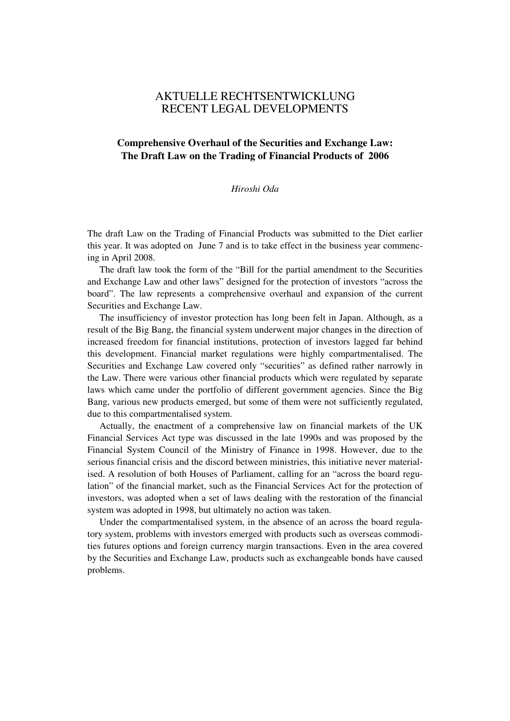# AKTUELLE RECHTSENTWICKLUNG RECENT LEGAL DEVELOPMENTS

## **Comprehensive Overhaul of the Securities and Exchange Law: The Draft Law on the Trading of Financial Products of 2006**

## *Hiroshi Oda*

The draft Law on the Trading of Financial Products was submitted to the Diet earlier this year. It was adopted on June 7 and is to take effect in the business year commencing in April 2008.

The draft law took the form of the "Bill for the partial amendment to the Securities and Exchange Law and other laws" designed for the protection of investors "across the board". The law represents a comprehensive overhaul and expansion of the current Securities and Exchange Law.

The insufficiency of investor protection has long been felt in Japan. Although, as a result of the Big Bang, the financial system underwent major changes in the direction of increased freedom for financial institutions, protection of investors lagged far behind this development. Financial market regulations were highly compartmentalised. The Securities and Exchange Law covered only "securities" as defined rather narrowly in the Law. There were various other financial products which were regulated by separate laws which came under the portfolio of different government agencies. Since the Big Bang, various new products emerged, but some of them were not sufficiently regulated, due to this compartmentalised system.

Actually, the enactment of a comprehensive law on financial markets of the UK Financial Services Act type was discussed in the late 1990s and was proposed by the Financial System Council of the Ministry of Finance in 1998. However, due to the serious financial crisis and the discord between ministries, this initiative never materialised. A resolution of both Houses of Parliament, calling for an "across the board regulation" of the financial market, such as the Financial Services Act for the protection of investors, was adopted when a set of laws dealing with the restoration of the financial system was adopted in 1998, but ultimately no action was taken.

Under the compartmentalised system, in the absence of an across the board regulatory system, problems with investors emerged with products such as overseas commodities futures options and foreign currency margin transactions. Even in the area covered by the Securities and Exchange Law, products such as exchangeable bonds have caused problems.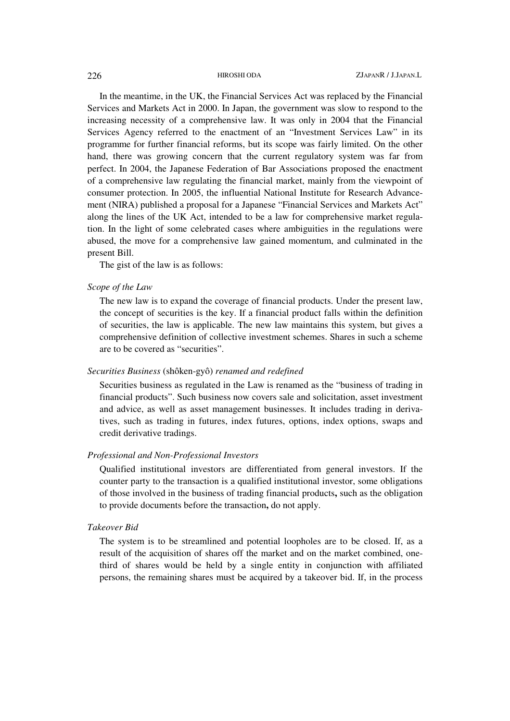In the meantime, in the UK, the Financial Services Act was replaced by the Financial Services and Markets Act in 2000. In Japan, the government was slow to respond to the increasing necessity of a comprehensive law. It was only in 2004 that the Financial Services Agency referred to the enactment of an "Investment Services Law" in its programme for further financial reforms, but its scope was fairly limited. On the other hand, there was growing concern that the current regulatory system was far from perfect. In 2004, the Japanese Federation of Bar Associations proposed the enactment of a comprehensive law regulating the financial market, mainly from the viewpoint of consumer protection. In 2005, the influential National Institute for Research Advancement (NIRA) published a proposal for a Japanese "Financial Services and Markets Act" along the lines of the UK Act, intended to be a law for comprehensive market regulation. In the light of some celebrated cases where ambiguities in the regulations were abused, the move for a comprehensive law gained momentum, and culminated in the present Bill.

The gist of the law is as follows:

#### *Scope of the Law*

The new law is to expand the coverage of financial products. Under the present law, the concept of securities is the key. If a financial product falls within the definition of securities, the law is applicable. The new law maintains this system, but gives a comprehensive definition of collective investment schemes. Shares in such a scheme are to be covered as "securities".

### *Securities Business* (shôken-gyô) *renamed and redefined*

Securities business as regulated in the Law is renamed as the "business of trading in financial products". Such business now covers sale and solicitation, asset investment and advice, as well as asset management businesses. It includes trading in derivatives, such as trading in futures, index futures, options, index options, swaps and credit derivative tradings.

#### *Professional and Non-Professional Investors*

Qualified institutional investors are differentiated from general investors. If the counter party to the transaction is a qualified institutional investor, some obligations of those involved in the business of trading financial products**,** such as the obligation to provide documents before the transaction**,** do not apply.

#### *Takeover Bid*

The system is to be streamlined and potential loopholes are to be closed. If, as a result of the acquisition of shares off the market and on the market combined, onethird of shares would be held by a single entity in conjunction with affiliated persons, the remaining shares must be acquired by a takeover bid. If, in the process